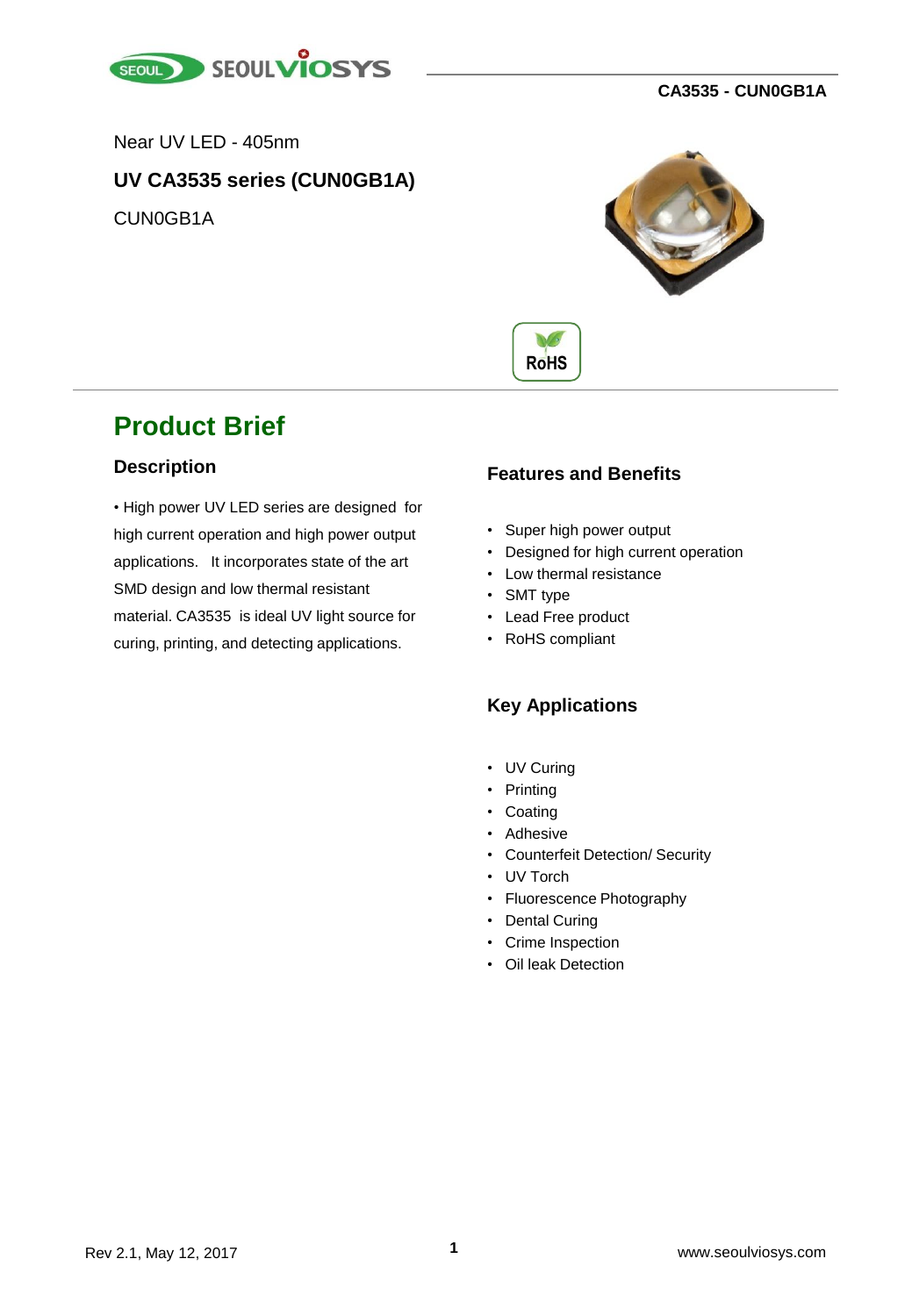

Near UV LED - 405nm

#### **UV CA3535 series (CUN0GB1A)**

CUN0GB1A





### **Product Brief**

#### **Description**

• High power UV LED series are designed for high current operation and high power output applications. It incorporates state of the art SMD design and low thermal resistant material. CA3535 is ideal UV light source for curing, printing, and detecting applications.

#### **Features and Benefits**

- Super high power output
- Designed for high current operation
- Low thermal resistance
- SMT type
- Lead Free product
- RoHS compliant

#### **Key Applications**

- UV Curing
- Printing
- Coating
- Adhesive
- Counterfeit Detection/ Security
- UV Torch
- Fluorescence Photography
- Dental Curing
- Crime Inspection
- Oil leak Detection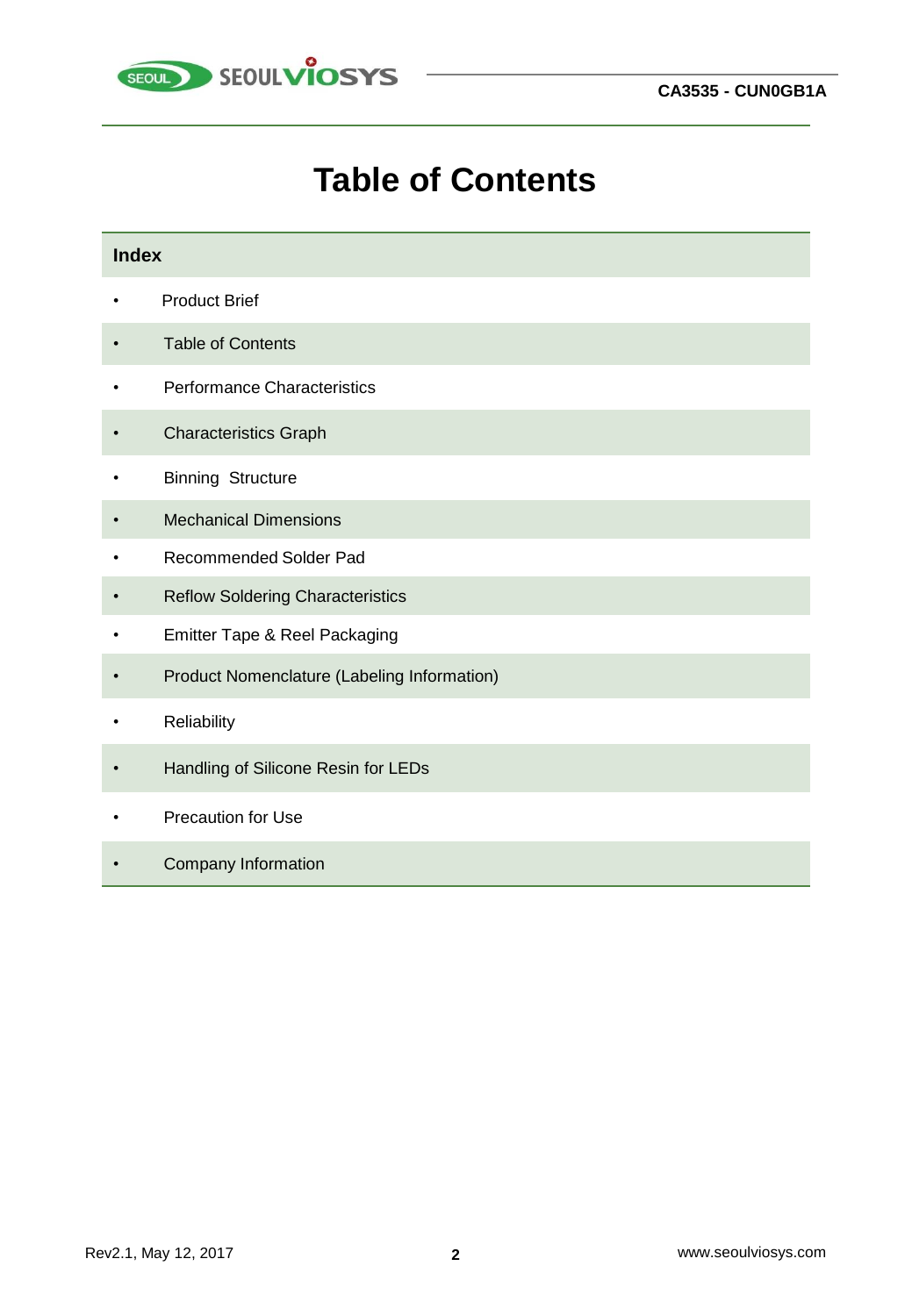

# **Table of Contents**

| <b>Index</b> |                                             |  |  |  |
|--------------|---------------------------------------------|--|--|--|
|              | <b>Product Brief</b>                        |  |  |  |
|              | <b>Table of Contents</b>                    |  |  |  |
|              | Performance Characteristics                 |  |  |  |
|              | <b>Characteristics Graph</b>                |  |  |  |
|              | <b>Binning Structure</b>                    |  |  |  |
|              | <b>Mechanical Dimensions</b>                |  |  |  |
|              | Recommended Solder Pad                      |  |  |  |
|              | <b>Reflow Soldering Characteristics</b>     |  |  |  |
|              | Emitter Tape & Reel Packaging               |  |  |  |
|              | Product Nomenclature (Labeling Information) |  |  |  |
|              | Reliability                                 |  |  |  |
|              | Handling of Silicone Resin for LEDs         |  |  |  |
|              | <b>Precaution for Use</b>                   |  |  |  |
|              | <b>Company Information</b>                  |  |  |  |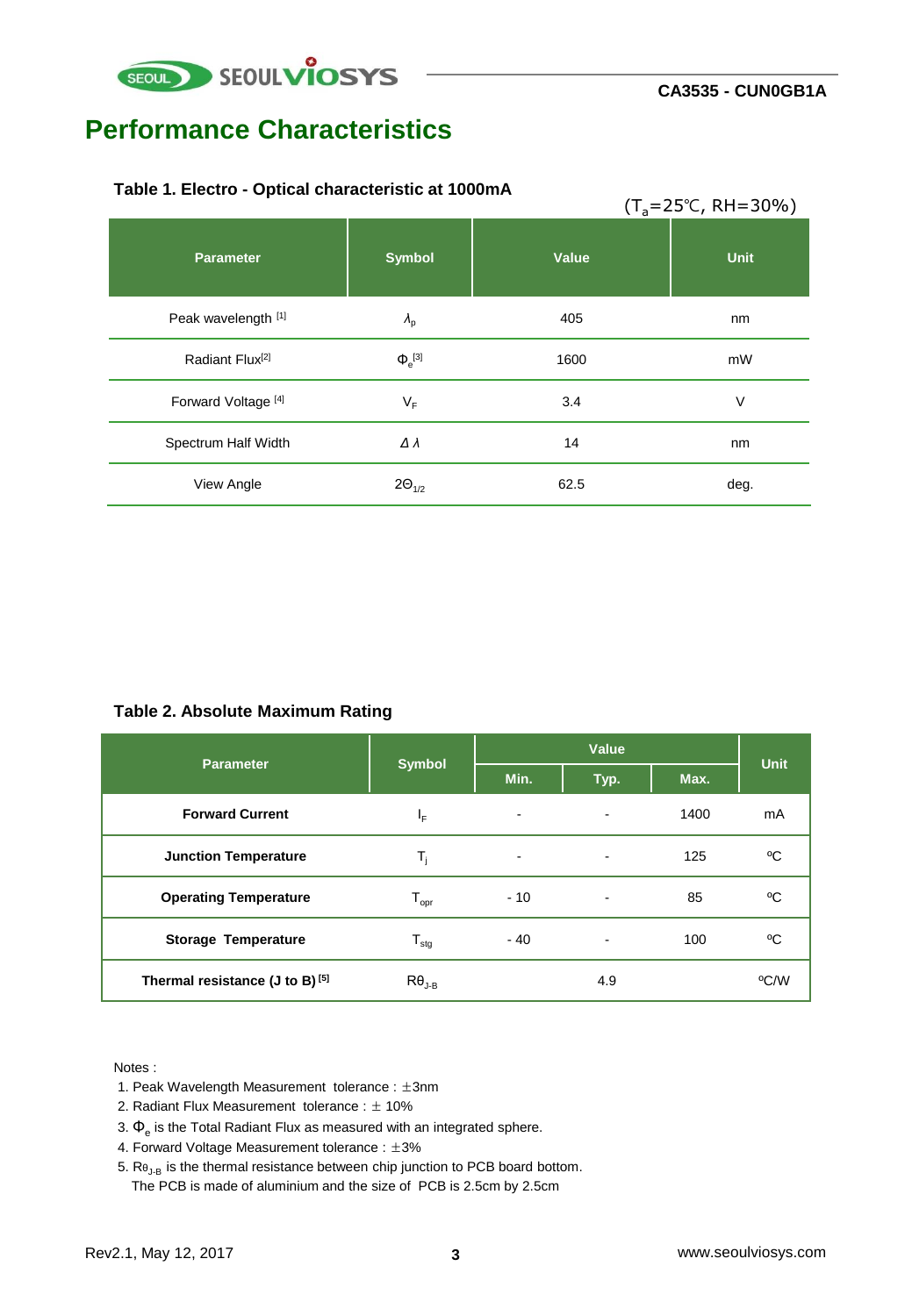

### **Performance Characteristics**

#### **Table 1. Electro - Optical characteristic at 1000mA**

|                             |                       |       | $(T_a=25^{\circ}C, RH=30\%)$ |
|-----------------------------|-----------------------|-------|------------------------------|
| <b>Parameter</b>            | <b>Symbol</b>         | Value | <b>Unit</b>                  |
| Peak wavelength [1]         | $\lambda_{\rm p}$     | 405   | nm                           |
| Radiant Flux <sup>[2]</sup> | $\Phi$ <sup>[3]</sup> | 1600  | mW                           |
| Forward Voltage [4]         | $V_F$                 | 3.4   | V                            |
| Spectrum Half Width         | Δλ                    | 14    | nm                           |
| View Angle                  | $2\Theta_{1/2}$       | 62.5  | deg.                         |

#### **Table 2. Absolute Maximum Rating**

| <b>Parameter</b>                           | <b>Symbol</b>               | Value          |      |      | <b>Unit</b> |
|--------------------------------------------|-----------------------------|----------------|------|------|-------------|
|                                            |                             | Min.           | Typ. | Max. |             |
| <b>Forward Current</b>                     | ΙF                          |                |      | 1400 | mA          |
| <b>Junction Temperature</b>                | т,                          | $\blacksquare$ | ۰    | 125  | °C          |
| <b>Operating Temperature</b>               | $\mathsf{T}_{\mathsf{opr}}$ | $-10$          | ۰    | 85   | °C          |
| <b>Storage Temperature</b>                 | ${\mathsf T}_{\text{stg}}$  | - 40           | ۰    | 100  | °C          |
| Thermal resistance (J to B) <sup>[5]</sup> | $R\theta_{J-B}$             |                | 4.9  |      | °C/W        |

#### Notes :

- 1. Peak Wavelength Measurement tolerance : ±3nm
- 2. Radiant Flux Measurement tolerance : ± 10%
- 3.  $\Phi_{\rm e}$  is the Total Radiant Flux as measured with an integrated sphere.
- 4. Forward Voltage Measurement tolerance : ±3%
- 5. Re<sub>J-B</sub> is the thermal resistance between chip junction to PCB board bottom. The PCB is made of aluminium and the size of PCB is 2.5cm by 2.5cm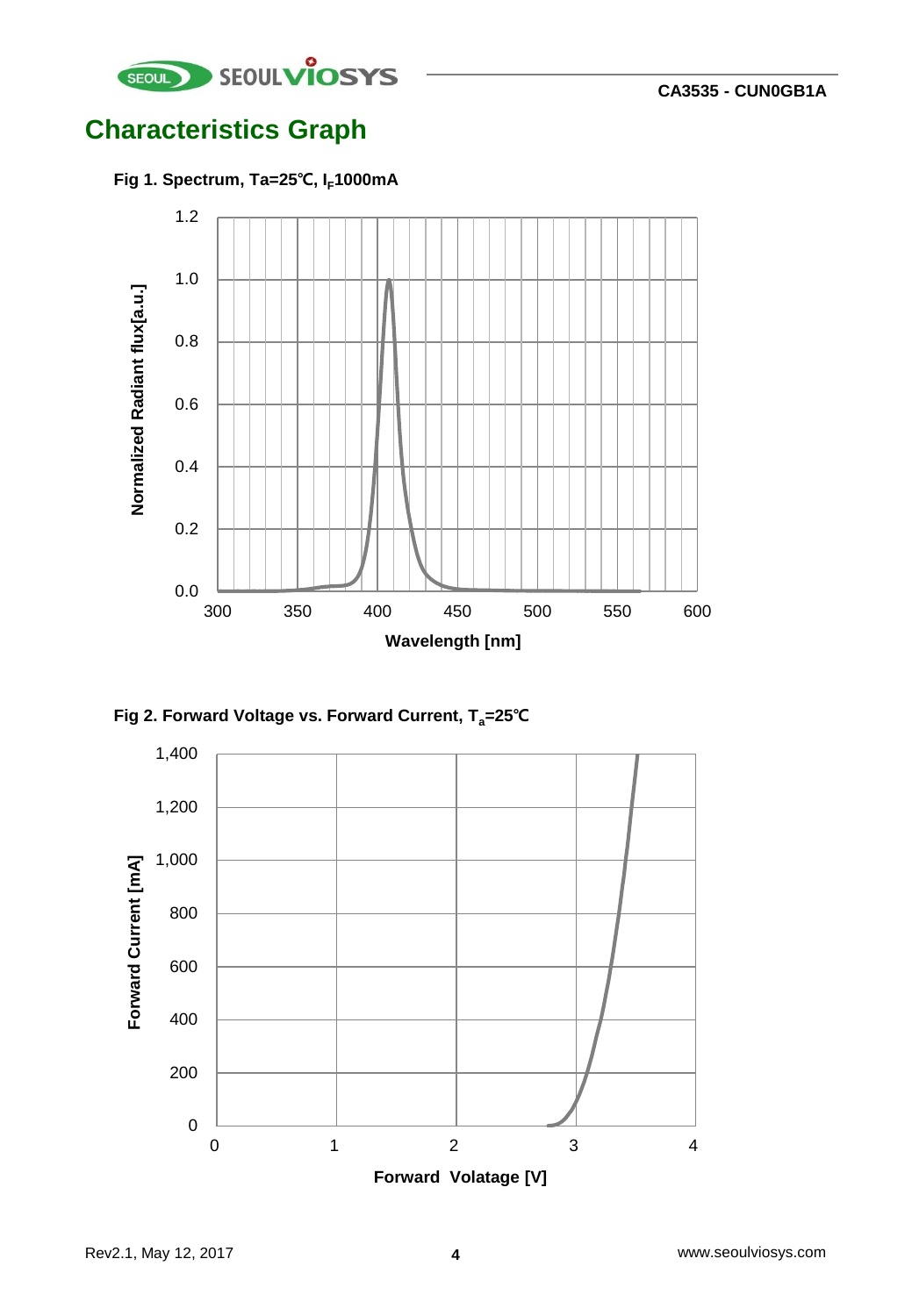

# **Characteristics Graph**







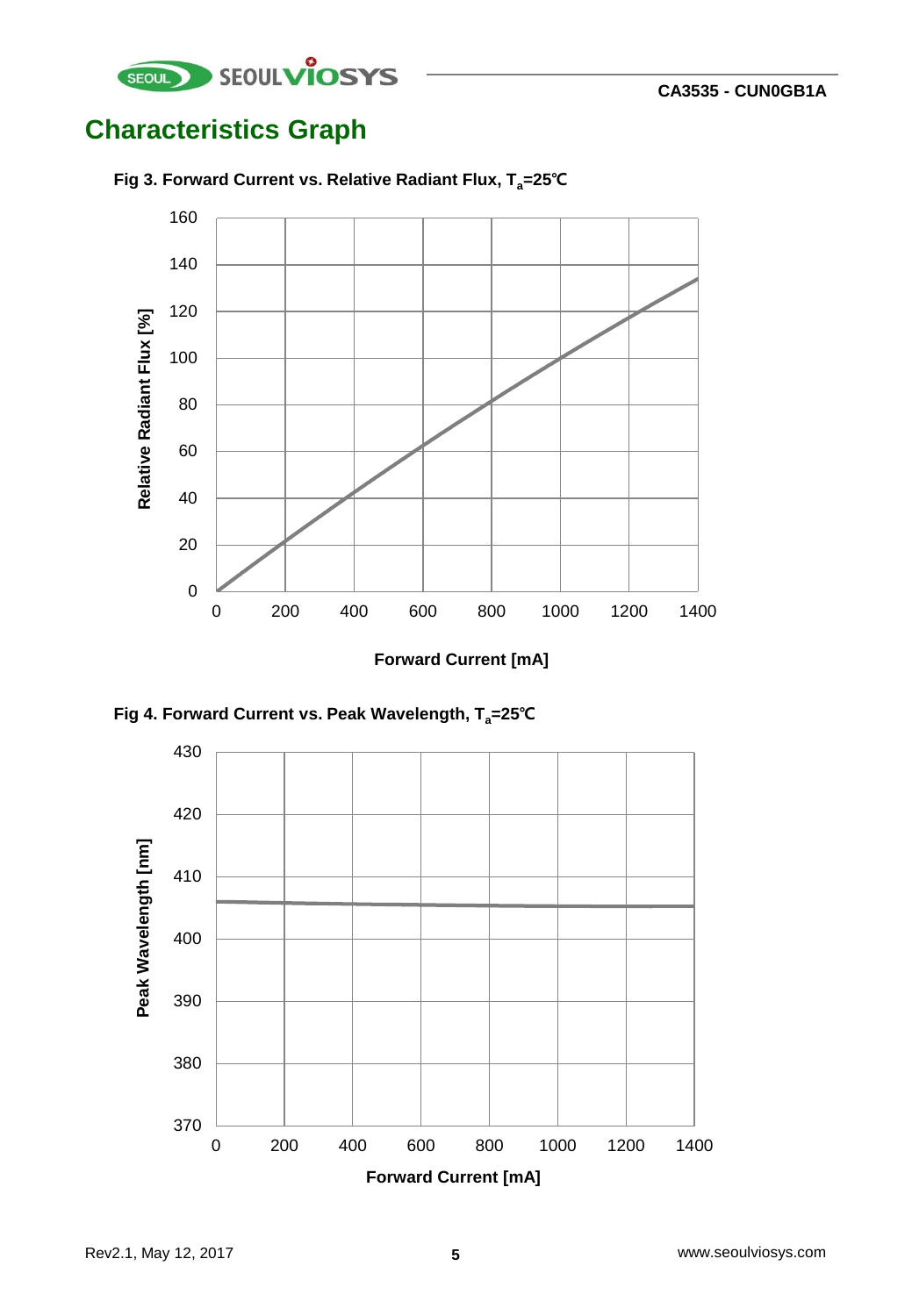

# **Characteristics Graph**

![](_page_4_Figure_3.jpeg)

**Fig 3. Forward Current vs. Relative Radiant Flux, Ta=25℃**

**Forward Current [mA]**

![](_page_4_Figure_6.jpeg)

![](_page_4_Figure_7.jpeg)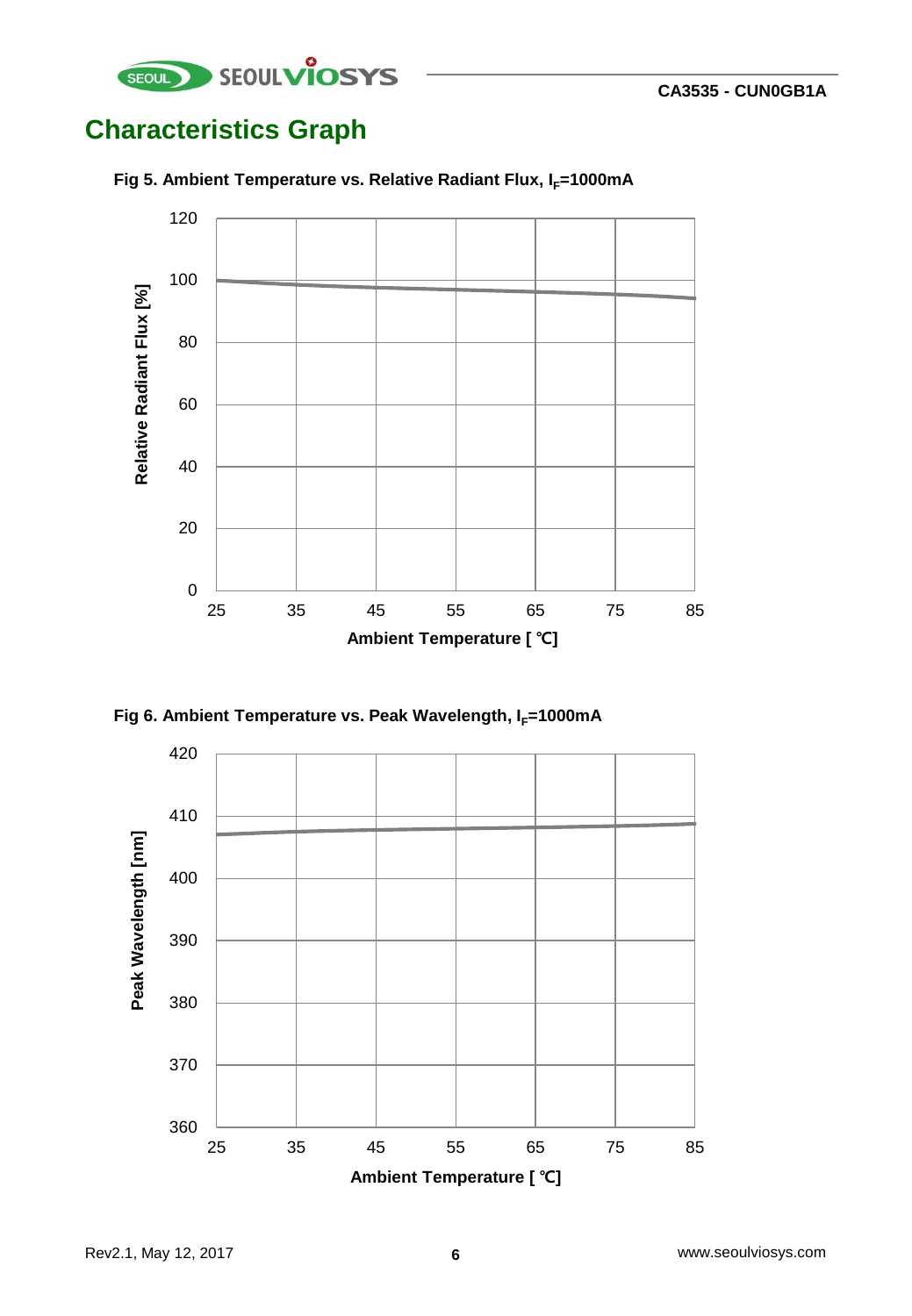![](_page_5_Picture_0.jpeg)

# **Characteristics Graph**

![](_page_5_Figure_3.jpeg)

#### **Fig 5. Ambient Temperature vs. Relative Radiant Flux, I<sub>F</sub>=1000mA**

![](_page_5_Figure_5.jpeg)

![](_page_5_Figure_6.jpeg)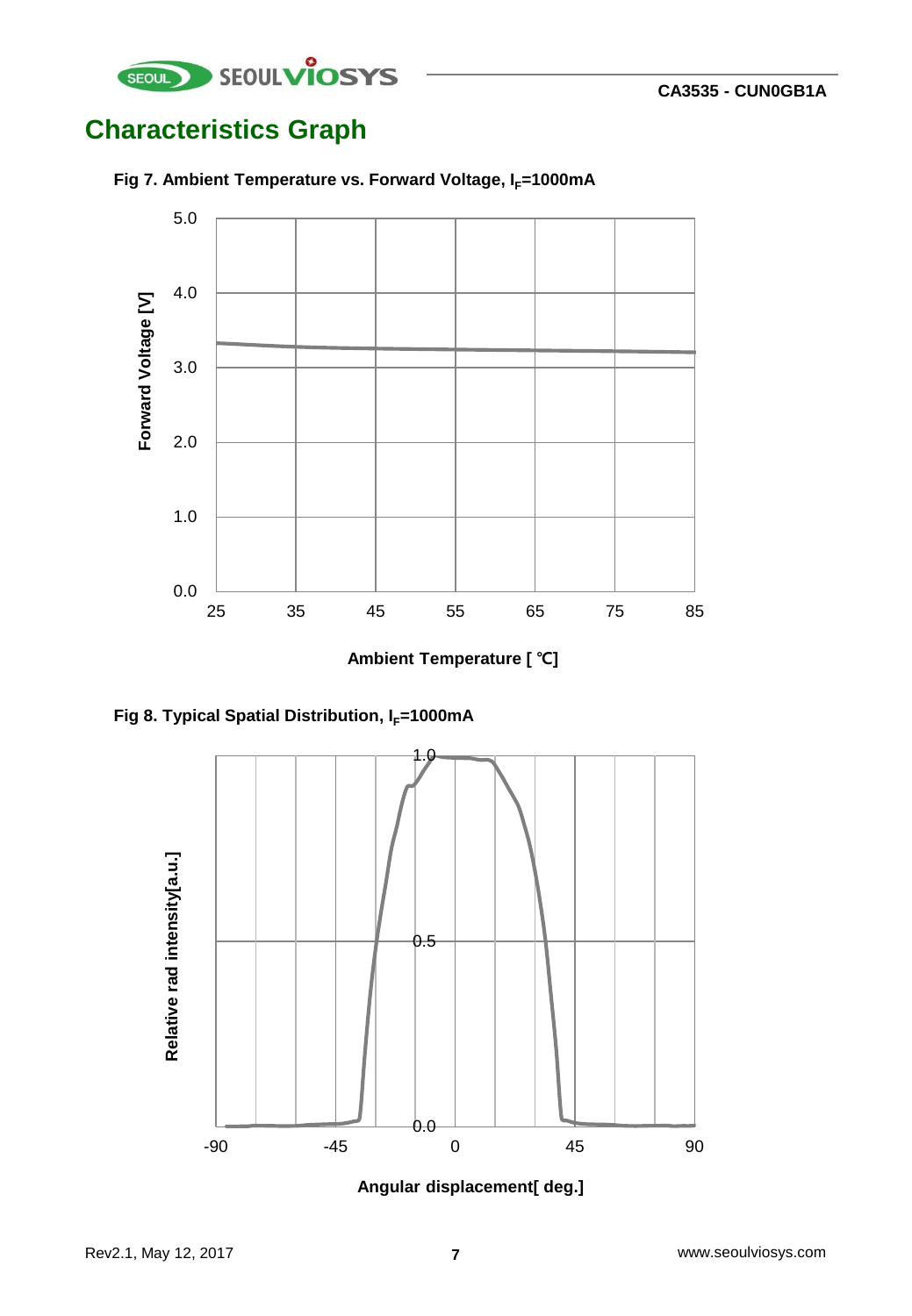![](_page_6_Picture_0.jpeg)

# **Characteristics Graph**

![](_page_6_Figure_3.jpeg)

![](_page_6_Figure_4.jpeg)

**Ambient Temperature [ ℃]**

![](_page_6_Figure_6.jpeg)

![](_page_6_Figure_7.jpeg)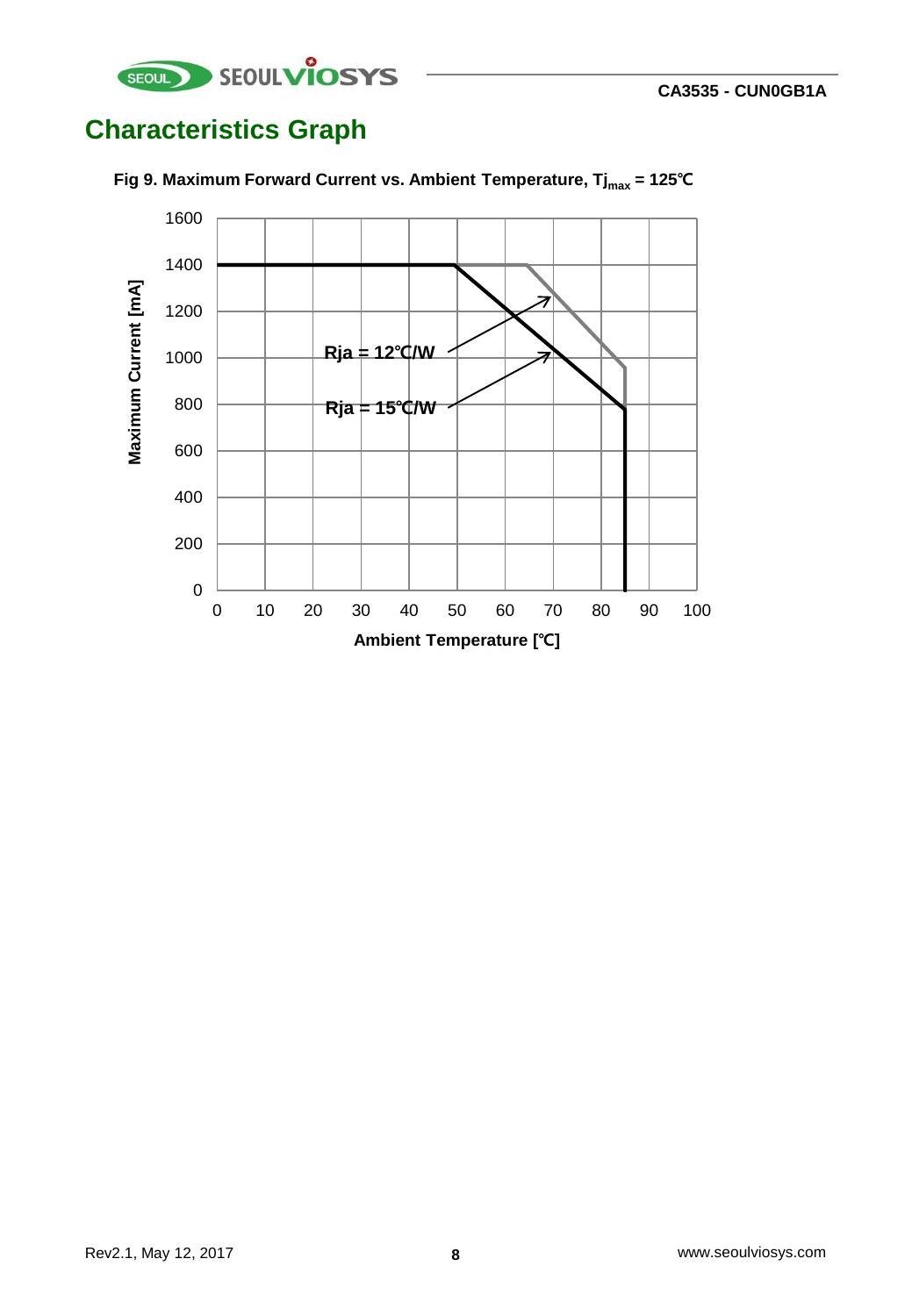![](_page_7_Picture_0.jpeg)

# **Characteristics Graph**

![](_page_7_Figure_3.jpeg)

**Fig 9. Maximum Forward Current vs. Ambient Temperature, Tjmax = 125℃**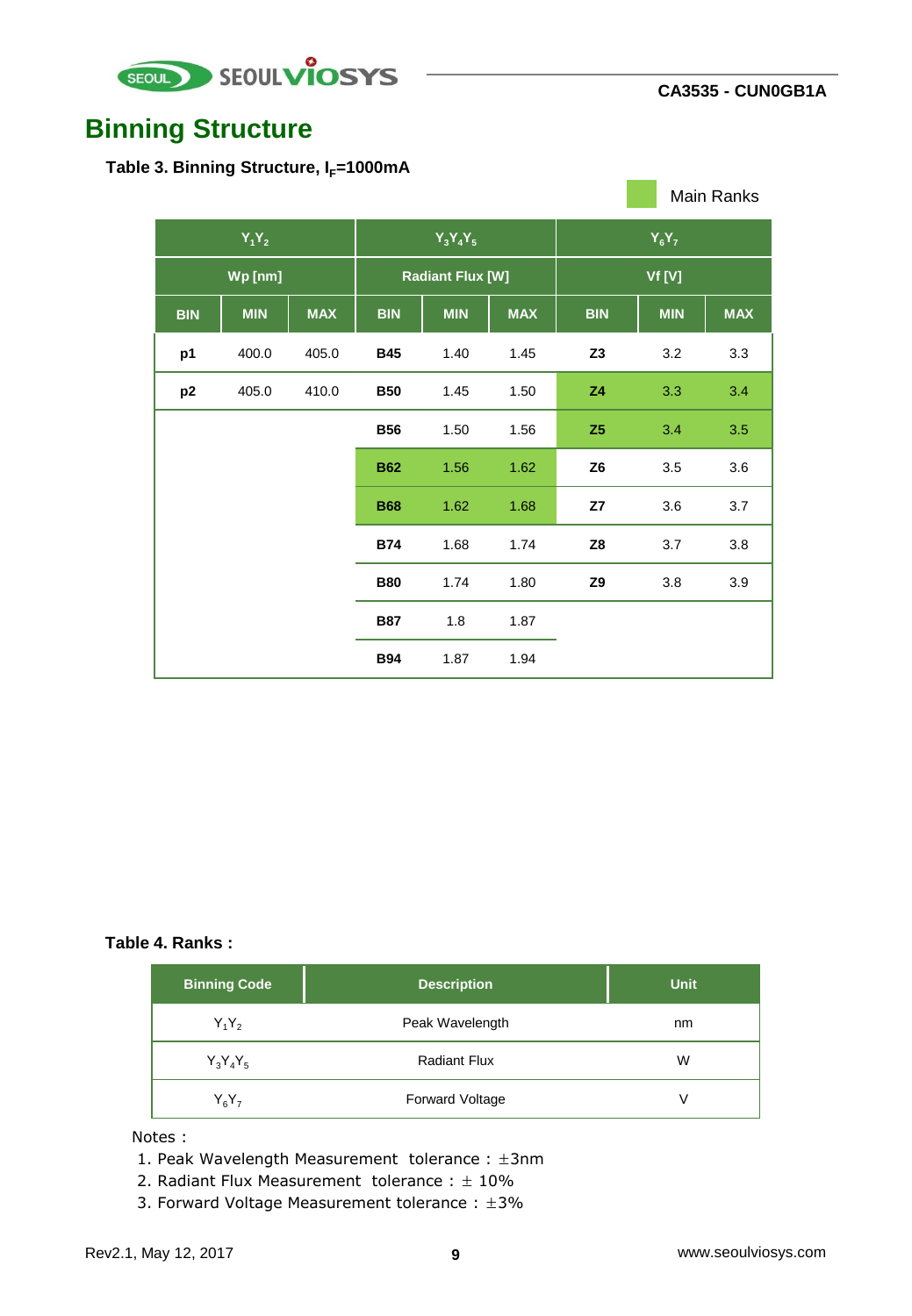![](_page_8_Picture_0.jpeg)

### **Binning Structure**

Table 3. Binning Structure, I<sub>F</sub>=1000mA

|                |            |            |                         |            |            |                |            | Main Ranks |
|----------------|------------|------------|-------------------------|------------|------------|----------------|------------|------------|
| $Y_1Y_2$       |            |            | $Y_3Y_4Y_5$             |            | $Y_6Y_7$   |                |            |            |
|                | Wp [nm]    |            | <b>Radiant Flux [W]</b> |            | Vf [V]     |                |            |            |
| <b>BIN</b>     | <b>MIN</b> | <b>MAX</b> | <b>BIN</b>              | <b>MIN</b> | <b>MAX</b> | <b>BIN</b>     | <b>MIN</b> | <b>MAX</b> |
| p1             | 400.0      | 405.0      | <b>B45</b>              | 1.40       | 1.45       | Z3             | 3.2        | 3.3        |
| p <sub>2</sub> | 405.0      | 410.0      | <b>B50</b>              | 1.45       | 1.50       | Z4             | 3.3        | 3.4        |
|                |            |            | <b>B56</b>              | 1.50       | 1.56       | Z <sub>5</sub> | 3.4        | 3.5        |
|                |            |            | <b>B62</b>              | 1.56       | 1.62       | Z6             | 3.5        | 3.6        |
|                |            |            | <b>B68</b>              | 1.62       | 1.68       | Z7             | 3.6        | 3.7        |
|                |            |            | <b>B74</b>              | 1.68       | 1.74       | Z8             | 3.7        | 3.8        |
|                |            |            | <b>B80</b>              | 1.74       | 1.80       | Z9             | 3.8        | 3.9        |
|                |            |            | <b>B87</b>              | 1.8        | 1.87       |                |            |            |
|                |            |            | <b>B94</b>              | 1.87       | 1.94       |                |            |            |

#### **Table 4. Ranks :**

| Binning Code <sup>1</sup> | <b>Description</b>     | <b>Unit</b> |
|---------------------------|------------------------|-------------|
| $Y_1Y_2$                  | Peak Wavelength        | nm          |
| $Y_3Y_4Y_5$               | <b>Radiant Flux</b>    | W           |
| $Y_6Y_7$                  | <b>Forward Voltage</b> | v           |

Notes :

1. Peak Wavelength Measurement tolerance : ±3nm

- 2. Radiant Flux Measurement tolerance :  $\pm$  10%
- 3. Forward Voltage Measurement tolerance :  $\pm 3\%$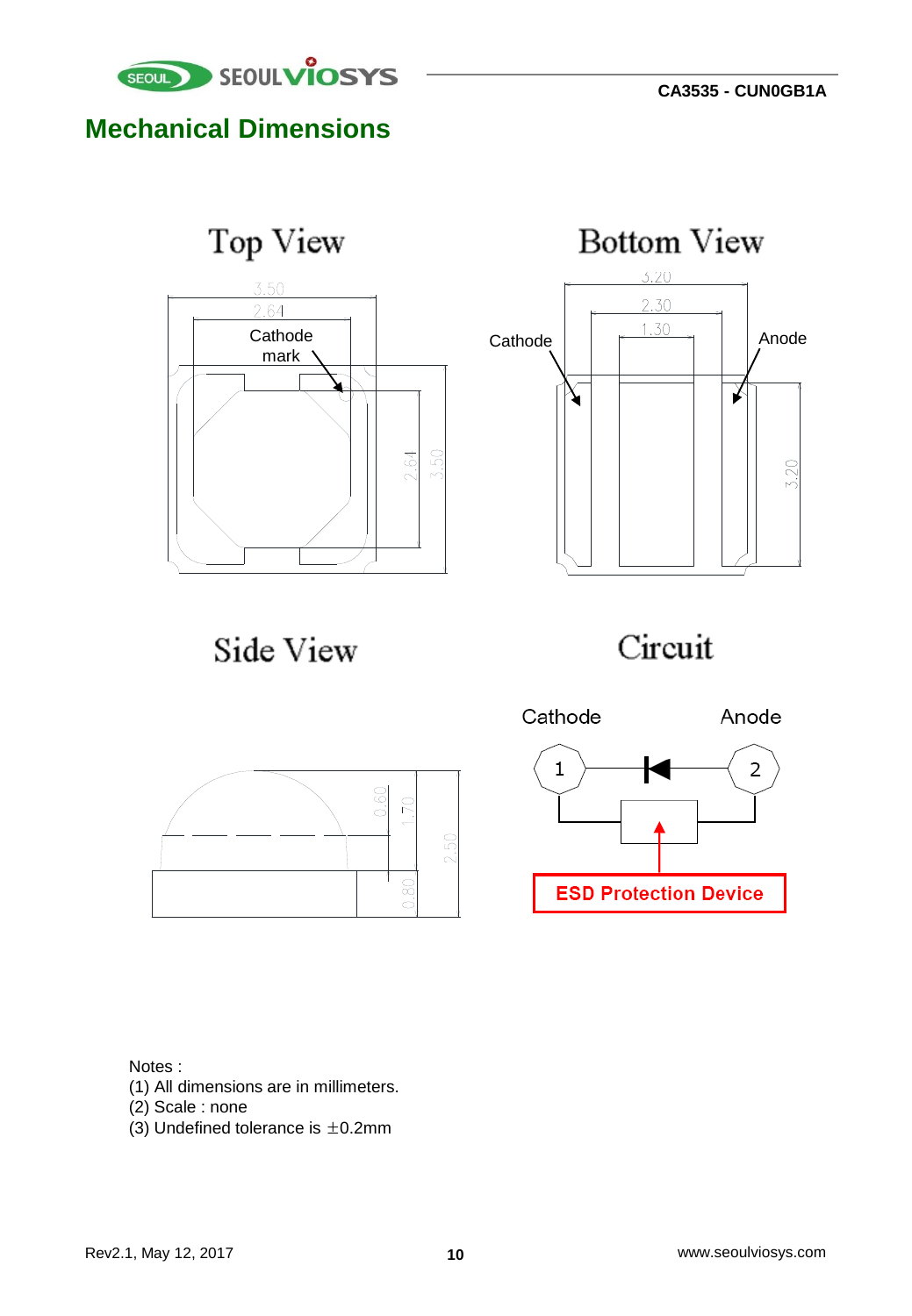![](_page_9_Picture_1.jpeg)

### **Mechanical Dimensions**

![](_page_9_Figure_3.jpeg)

![](_page_9_Figure_4.jpeg)

Side View

![](_page_9_Figure_6.jpeg)

![](_page_9_Figure_7.jpeg)

![](_page_9_Figure_8.jpeg)

Notes :

- (1) All dimensions are in millimeters.
- (2) Scale : none
- (3) Undefined tolerance is  $\pm$ 0.2mm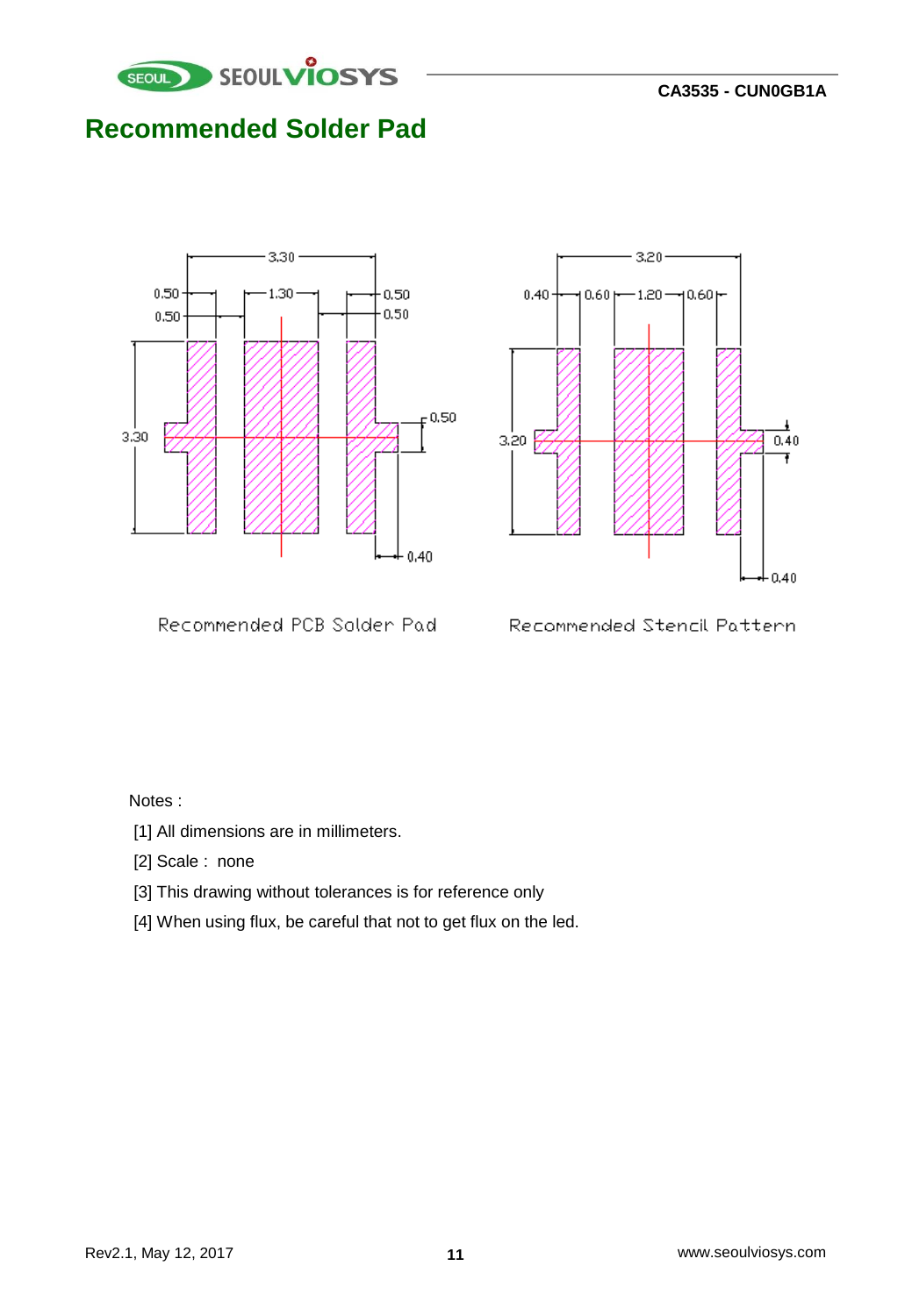![](_page_10_Picture_0.jpeg)

### **Recommended Solder Pad**

![](_page_10_Figure_3.jpeg)

![](_page_10_Figure_4.jpeg)

Recommended PCB Solder Pad-

Recommended Stencil Pattern

#### Notes :

- [1] All dimensions are in millimeters.
- [2] Scale : none
- [3] This drawing without tolerances is for reference only
- [4] When using flux, be careful that not to get flux on the led.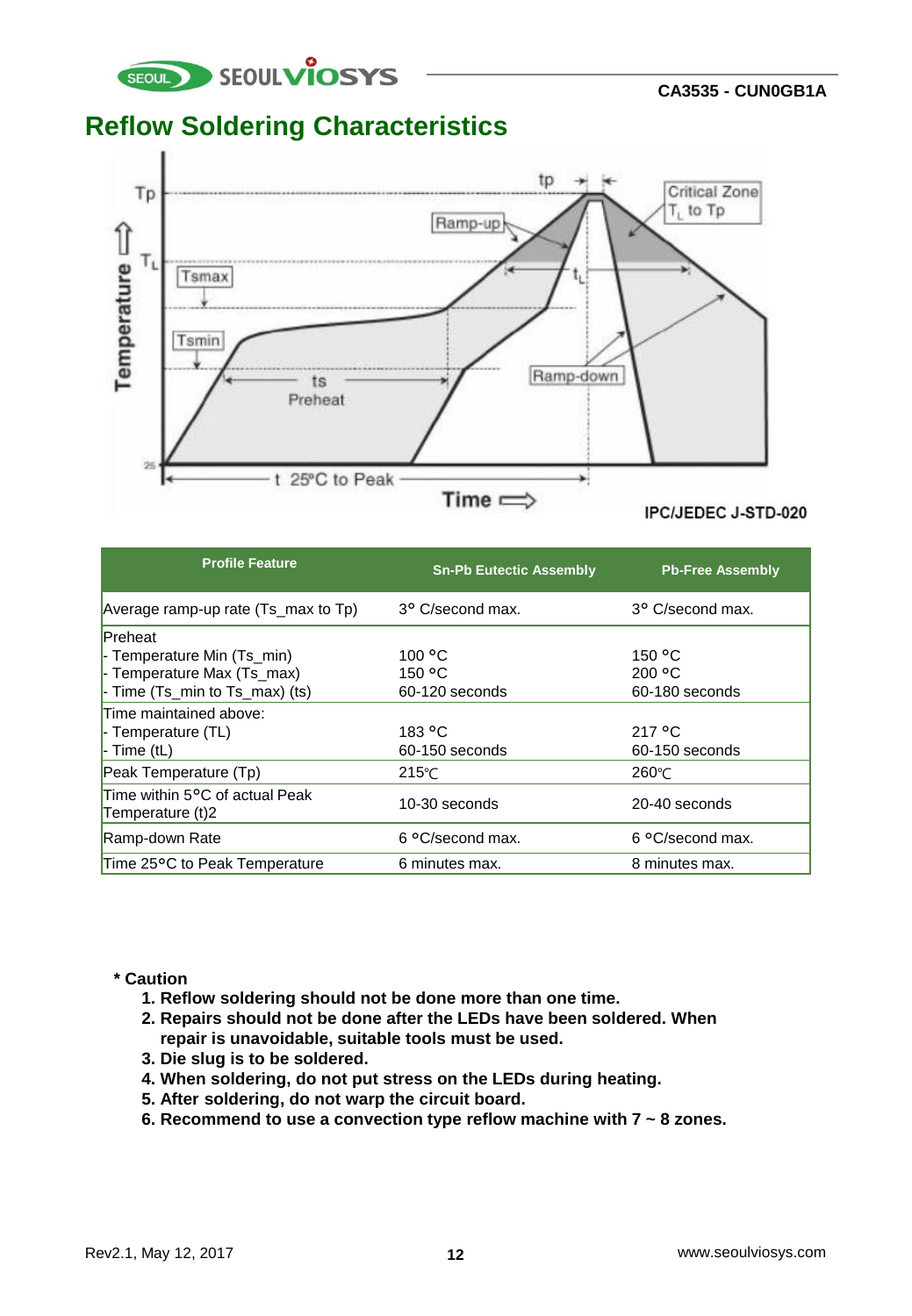![](_page_11_Picture_0.jpeg)

### **Reflow Soldering Characteristics**

![](_page_11_Figure_3.jpeg)

| <b>Profile Feature</b>                               | <b>Sn-Pb Eutectic Assembly</b> | <b>Pb-Free Assembly</b> |
|------------------------------------------------------|--------------------------------|-------------------------|
| Average ramp-up rate (Ts_max to Tp)                  | 3° C/second max.               | 3° C/second max.        |
| <b>Preheat</b>                                       |                                |                         |
| - Temperature Min (Ts min)                           | 100 °C                         | 150 °C                  |
| - Temperature Max (Ts_max)                           | 150 °C                         | 200 °C                  |
| $\blacksquare$ - Time (Ts_min to Ts_max) (ts)        | 60-120 seconds                 | 60-180 seconds          |
| Time maintained above:                               |                                |                         |
| $\vdash$ Temperature (TL)                            | 183 °C                         | 217 °C                  |
| $\blacksquare$ - Time (tL)                           | 60-150 seconds                 | 60-150 seconds          |
| Peak Temperature (Tp)                                | $215^{\circ}$ C                | $260^{\circ}$ C         |
| Time within 5°C of actual Peak<br>Temperature $(t)2$ | 10-30 seconds                  | 20-40 seconds           |
| Ramp-down Rate                                       | 6 °C/second max.               | 6 °C/second max.        |
| Time 25°C to Peak Temperature                        | 6 minutes max.                 | 8 minutes max.          |

#### **\* Caution**

- **1. Reflow soldering should not be done more than one time.**
- **2. Repairs should not be done after the LEDs have been soldered. When repair is unavoidable, suitable tools must be used.**
- **3. Die slug is to be soldered.**
- **4. When soldering, do not put stress on the LEDs during heating.**
- **5. After soldering, do not warp the circuit board.**
- **6. Recommend to use a convection type reflow machine with 7 ~ 8 zones.**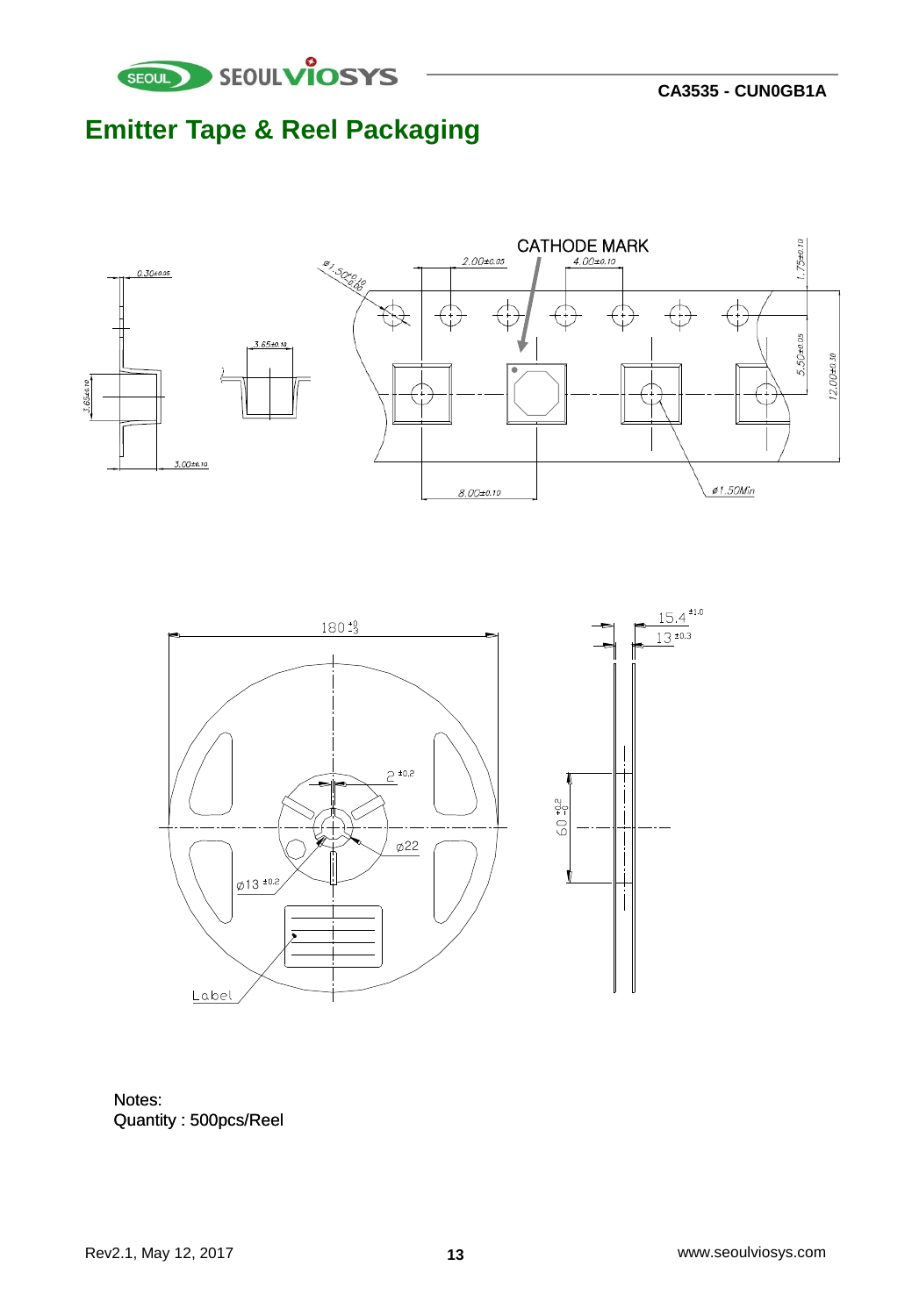![](_page_12_Picture_0.jpeg)

# **Emitter Tape & Reel Packaging**

![](_page_12_Figure_3.jpeg)

![](_page_12_Figure_4.jpeg)

Notes: Quantity : 500pcs/Reel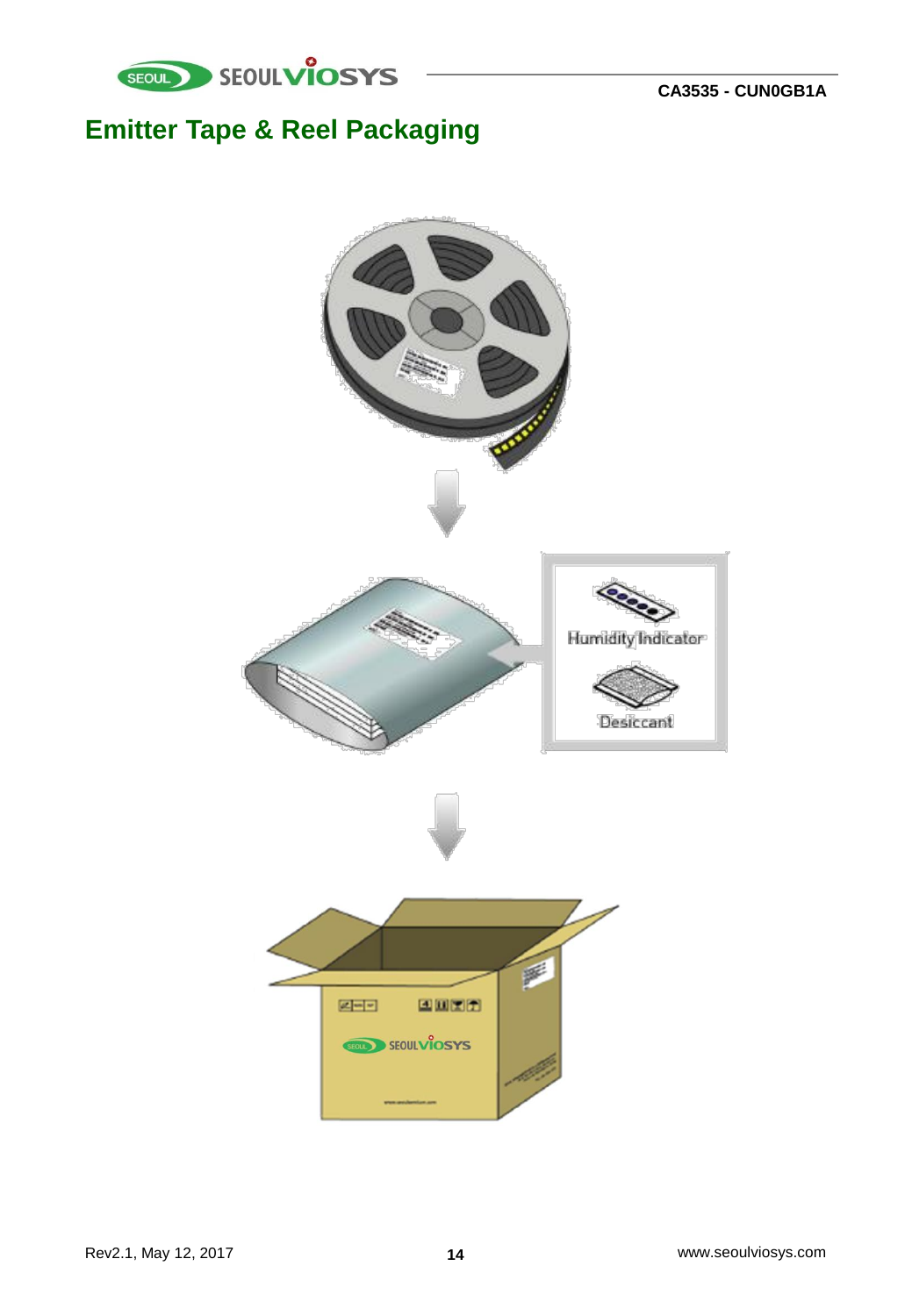![](_page_13_Picture_0.jpeg)

# **Emitter Tape & Reel Packaging**

![](_page_13_Picture_3.jpeg)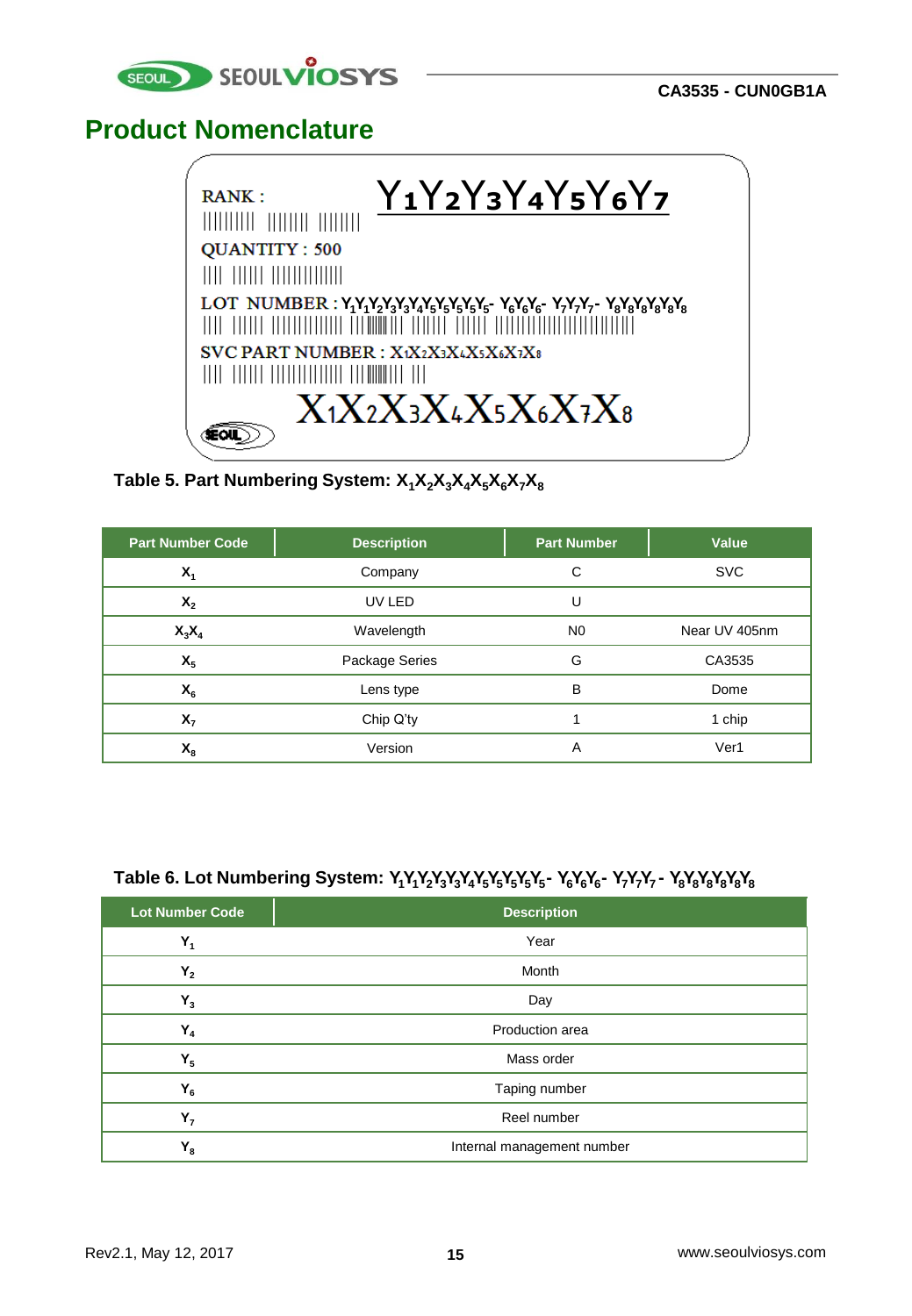![](_page_14_Picture_0.jpeg)

### **Product Nomenclature**

![](_page_14_Picture_3.jpeg)

**Table 5. Part Numbering System: X1X2X3X4X5X6X7X<sup>8</sup>**

| <b>Part Number Code</b> | <b>Description</b> | <b>Part Number</b> | Value         |
|-------------------------|--------------------|--------------------|---------------|
| $X_1$                   | Company            | С                  | <b>SVC</b>    |
| $X_{2}$                 | UV LED             | U                  |               |
| $X_3X_4$                | Wavelength         | N <sub>0</sub>     | Near UV 405nm |
| $X_{5}$                 | Package Series     | G                  | CA3535        |
| $X_6$                   | Lens type          | в                  | Dome          |
| $X_{7}$                 | Chip Q'ty          |                    | 1 chip        |
| $X_{\rm R}$             | Version            |                    | Ver1          |

#### **Table 6. Lot Numbering System: Y1Y1Y2Y3Y3Y4Y5Y5Y5Y5Y5 - Y6Y6Y6 - Y7Y7Y7 - Y8Y8Y8Y8Y8Y<sup>8</sup>**

| <b>Lot Number Code</b> | <b>Description</b>         |  |  |
|------------------------|----------------------------|--|--|
| $Y_1$                  | Year                       |  |  |
| $Y_2$                  | Month                      |  |  |
| $Y_3$                  | Day                        |  |  |
| $Y_4$                  | Production area            |  |  |
| $Y_{5}$                | Mass order                 |  |  |
| $Y_6$                  | Taping number              |  |  |
| Υ,                     | Reel number                |  |  |
| $Y_8$                  | Internal management number |  |  |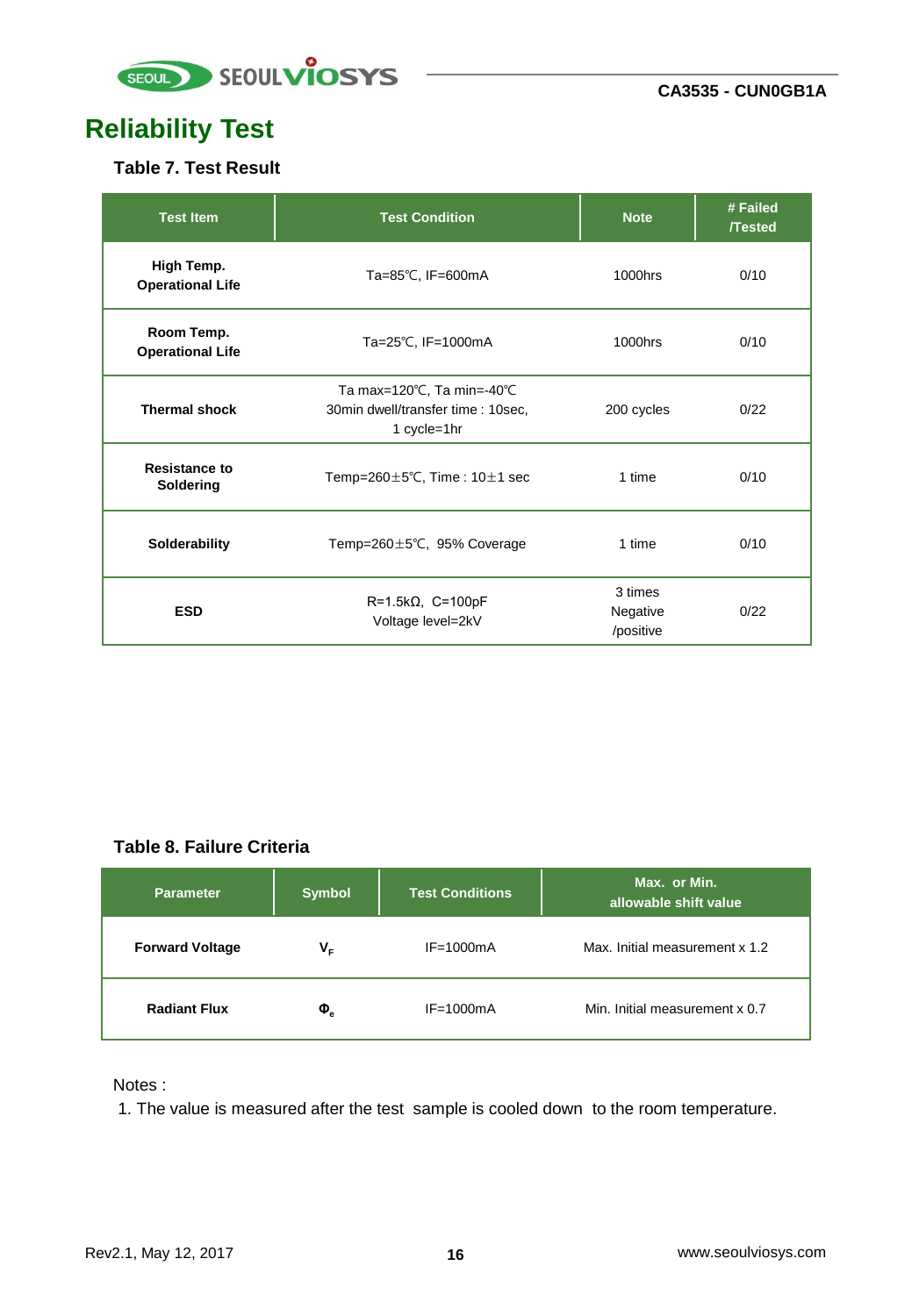![](_page_15_Picture_0.jpeg)

# **Reliability Test**

#### **Table 7. Test Result**

| <b>Test Item</b>                      | <b>Test Condition</b>                                                           | <b>Note</b>                      | # Failed<br><b>/Tested</b> |
|---------------------------------------|---------------------------------------------------------------------------------|----------------------------------|----------------------------|
| High Temp.<br><b>Operational Life</b> | Ta=85℃, IF=600mA                                                                |                                  | 0/10                       |
| Room Temp.<br><b>Operational Life</b> | Ta=25°C, IF=1000mA                                                              | 1000hrs                          | 0/10                       |
| <b>Thermal shock</b>                  | Ta max=120°C, Ta min=-40°C<br>30min dwell/transfer time : 10sec,<br>1 cycle=1hr | 200 cycles                       | 0/22                       |
| <b>Resistance to</b><br>Soldering     | Temp=260 $\pm$ 5°C, Time: 10 $\pm$ 1 sec                                        | 1 time                           | 0/10                       |
| Solderability                         | Temp=260 $\pm$ 5°C, 95% Coverage                                                | 1 time                           | 0/10                       |
| <b>ESD</b>                            | $R=1.5k\Omega$ , $C=100pF$<br>Voltage level=2kV                                 | 3 times<br>Negative<br>/positive | 0/22                       |

#### **Table 8. Failure Criteria**

| <b>Parameter</b>       | <b>Symbol</b>               | <b>Test Conditions</b> | Max. or Min.<br>allowable shift value |
|------------------------|-----------------------------|------------------------|---------------------------------------|
| <b>Forward Voltage</b> | V.                          | $IF = 1000mA$          | Max. Initial measurement x 1.2        |
| <b>Radiant Flux</b>    | $\boldsymbol{\Phi}_{\rm e}$ | $IF = 1000mA$          | Min. Initial measurement x 0.7        |

Notes :

1. The value is measured after the test sample is cooled down to the room temperature.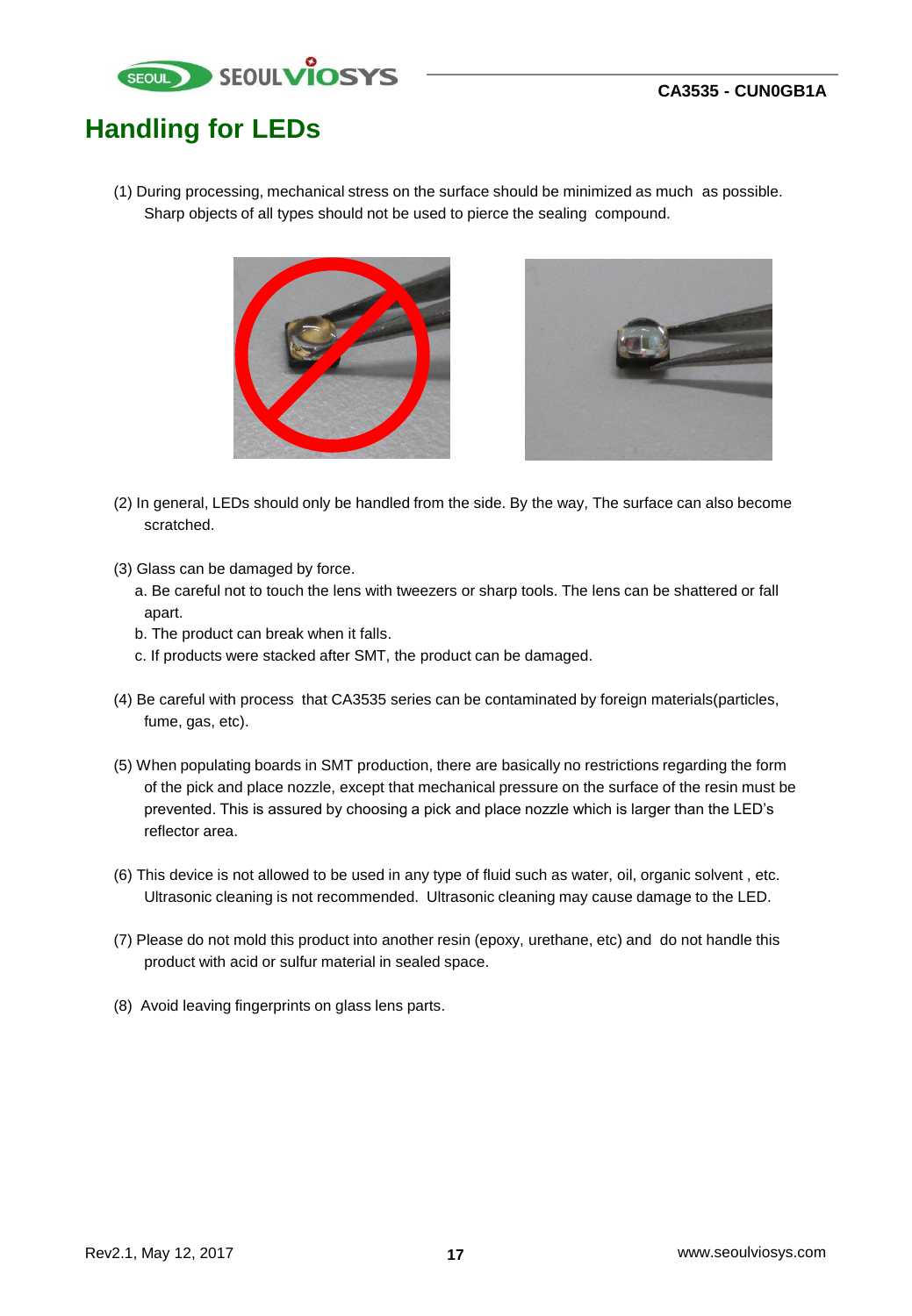![](_page_16_Picture_1.jpeg)

## **Handling for LEDs**

(1) During processing, mechanical stress on the surface should be minimized as much as possible. Sharp objects of all types should not be used to pierce the sealing compound.

![](_page_16_Picture_4.jpeg)

![](_page_16_Picture_5.jpeg)

- (2) In general, LEDs should only be handled from the side. By the way, The surface can also become scratched.
- (3) Glass can be damaged by force.
	- a. Be careful not to touch the lens with tweezers or sharp tools. The lens can be shattered or fall apart.
	- b. The product can break when it falls.
	- c. If products were stacked after SMT, the product can be damaged.
- (4) Be careful with process that CA3535 series can be contaminated by foreign materials(particles, fume, gas, etc).
- (5) When populating boards in SMT production, there are basically no restrictions regarding the form of the pick and place nozzle, except that mechanical pressure on the surface of the resin must be prevented. This is assured by choosing a pick and place nozzle which is larger than the LED's reflector area.
- (6) This device is not allowed to be used in any type of fluid such as water, oil, organic solvent , etc. Ultrasonic cleaning is not recommended. Ultrasonic cleaning may cause damage to the LED.
- (7) Please do not mold this product into another resin (epoxy, urethane, etc) and do not handle this product with acid or sulfur material in sealed space.
- (8) Avoid leaving fingerprints on glass lens parts.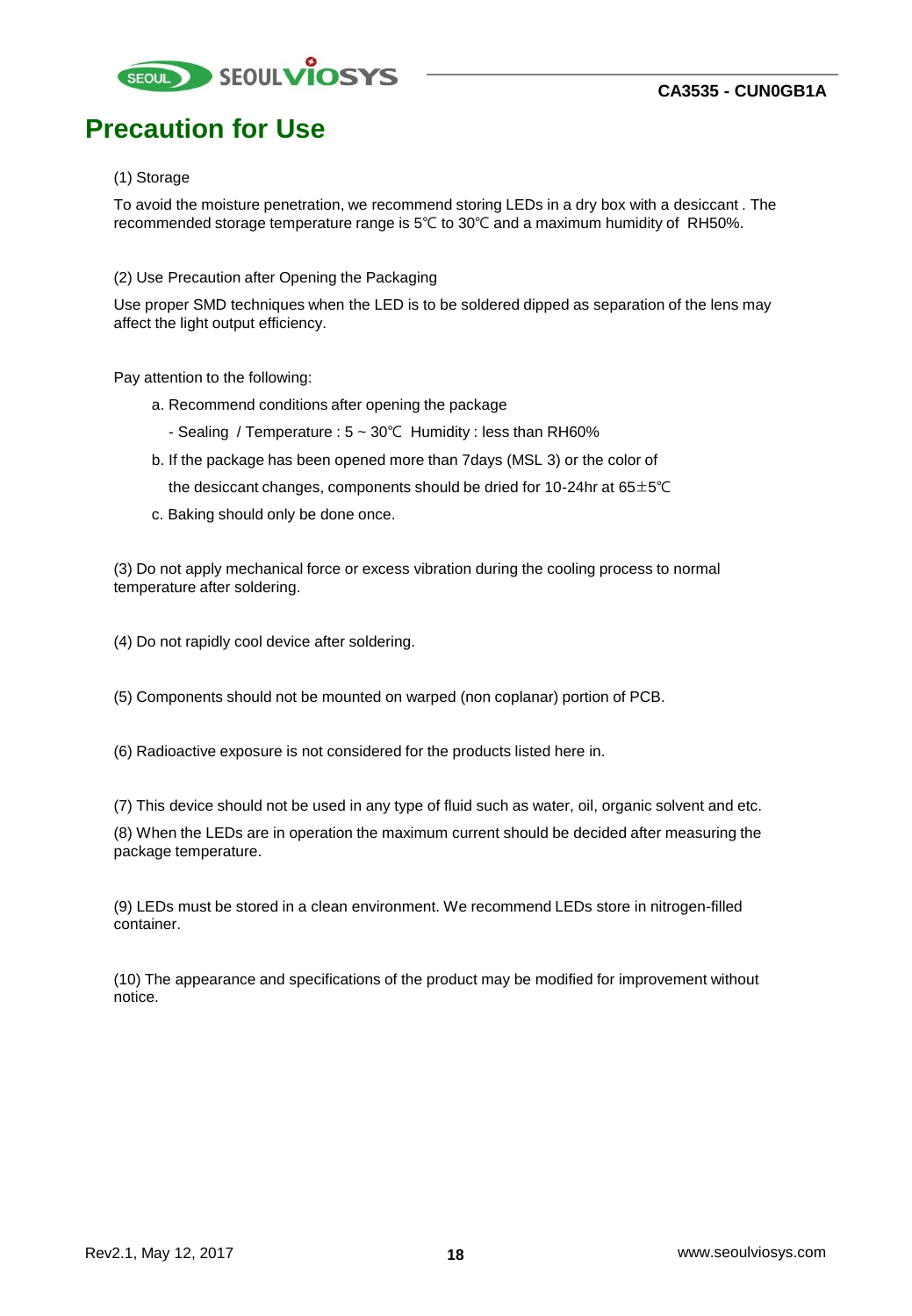![](_page_17_Picture_0.jpeg)

### **Precaution for Use**

#### (1) Storage

To avoid the moisture penetration, we recommend storing LEDs in a dry box with a desiccant . The recommended storage temperature range is 5℃ to 30℃ and a maximum humidity of RH50%.

(2) Use Precaution after Opening the Packaging

Use proper SMD techniques when the LED is to be soldered dipped as separation of the lens may affect the light output efficiency.

Pay attention to the following:

- a. Recommend conditions after opening the package
	- Sealing / Temperature : 5 ~ 30℃ Humidity : less than RH60%
- b. If the package has been opened more than 7days (MSL 3) or the color of the desiccant changes, components should be dried for 10-24hr at  $65\pm5^{\circ}$ C
- c. Baking should only be done once.

(3) Do not apply mechanical force or excess vibration during the cooling process to normal temperature after soldering.

(4) Do not rapidly cool device after soldering.

(5) Components should not be mounted on warped (non coplanar) portion of PCB.

(6) Radioactive exposure is not considered for the products listed here in.

(7) This device should not be used in any type of fluid such as water, oil, organic solvent and etc.

(8) When the LEDs are in operation the maximum current should be decided after measuring the package temperature.

(9) LEDs must be stored in a clean environment. We recommend LEDs store in nitrogen-filled container.

(10) The appearance and specifications of the product may be modified for improvement without notice.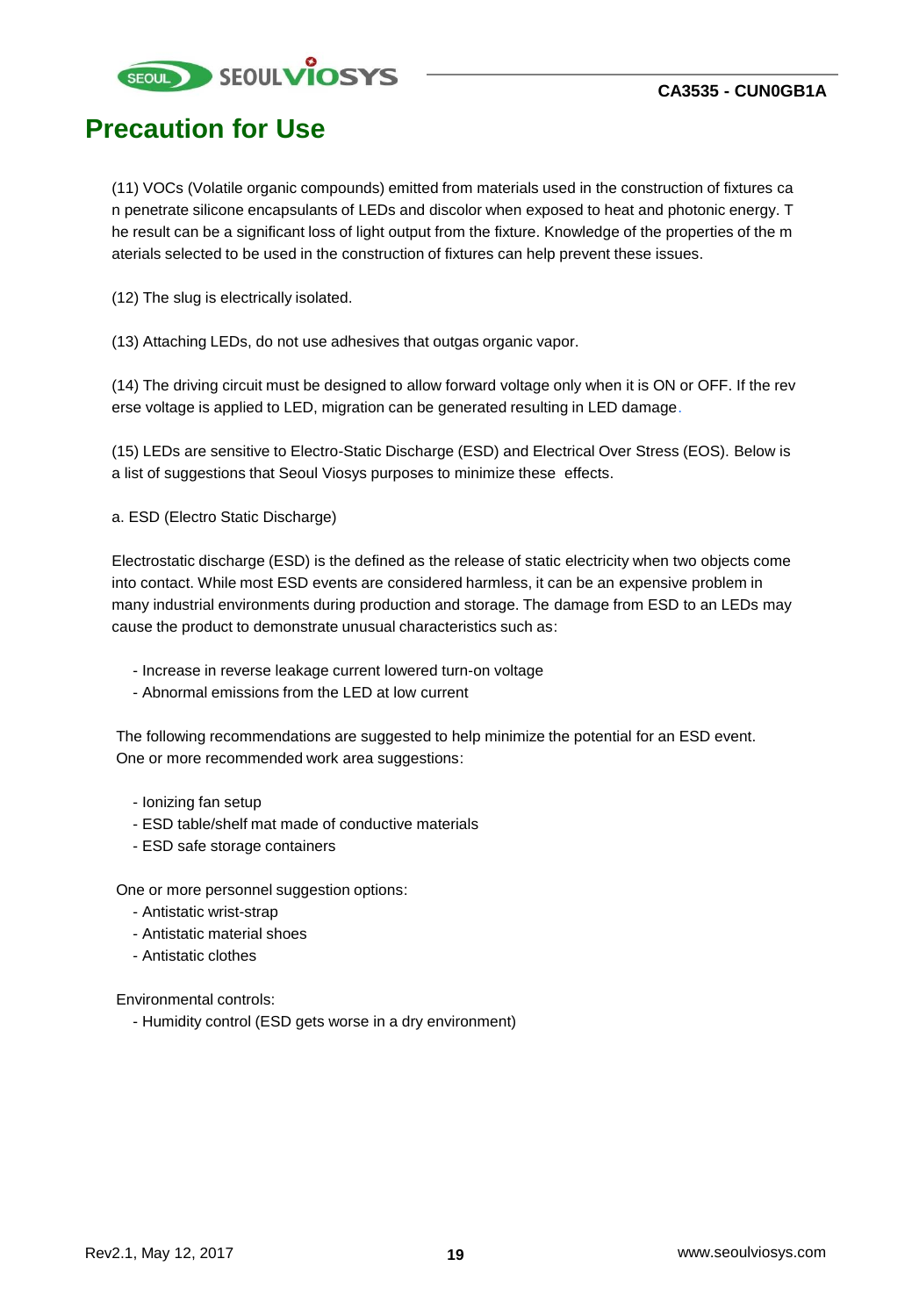![](_page_18_Picture_0.jpeg)

### **Precaution for Use**

(11) VOCs (Volatile organic compounds) emitted from materials used in the construction of fixtures ca n penetrate silicone encapsulants of LEDs and discolor when exposed to heat and photonic energy. T he result can be a significant loss of light output from the fixture. Knowledge of the properties of the m aterials selected to be used in the construction of fixtures can help prevent these issues.

(12) The slug is electrically isolated.

(13) Attaching LEDs, do not use adhesives that outgas organic vapor.

(14) The driving circuit must be designed to allow forward voltage only when it is ON or OFF. If the rev erse voltage is applied to LED, migration can be generated resulting in LED damage.

(15) LEDs are sensitive to Electro-Static Discharge (ESD) and Electrical Over Stress (EOS). Below is a list of suggestions that Seoul Viosys purposes to minimize these effects.

a. ESD (Electro Static Discharge)

Electrostatic discharge (ESD) is the defined as the release of static electricity when two objects come into contact. While most ESD events are considered harmless, it can be an expensive problem in many industrial environments during production and storage. The damage from ESD to an LEDs may cause the product to demonstrate unusual characteristics such as:

- Increase in reverse leakage current lowered turn-on voltage
- Abnormal emissions from the LED at low current

The following recommendations are suggested to help minimize the potential for an ESD event. One or more recommended work area suggestions:

- Ionizing fan setup
- ESD table/shelf mat made of conductive materials
- ESD safe storage containers

One or more personnel suggestion options:

- Antistatic wrist-strap
- Antistatic material shoes
- Antistatic clothes

Environmental controls:

- Humidity control (ESD gets worse in a dry environment)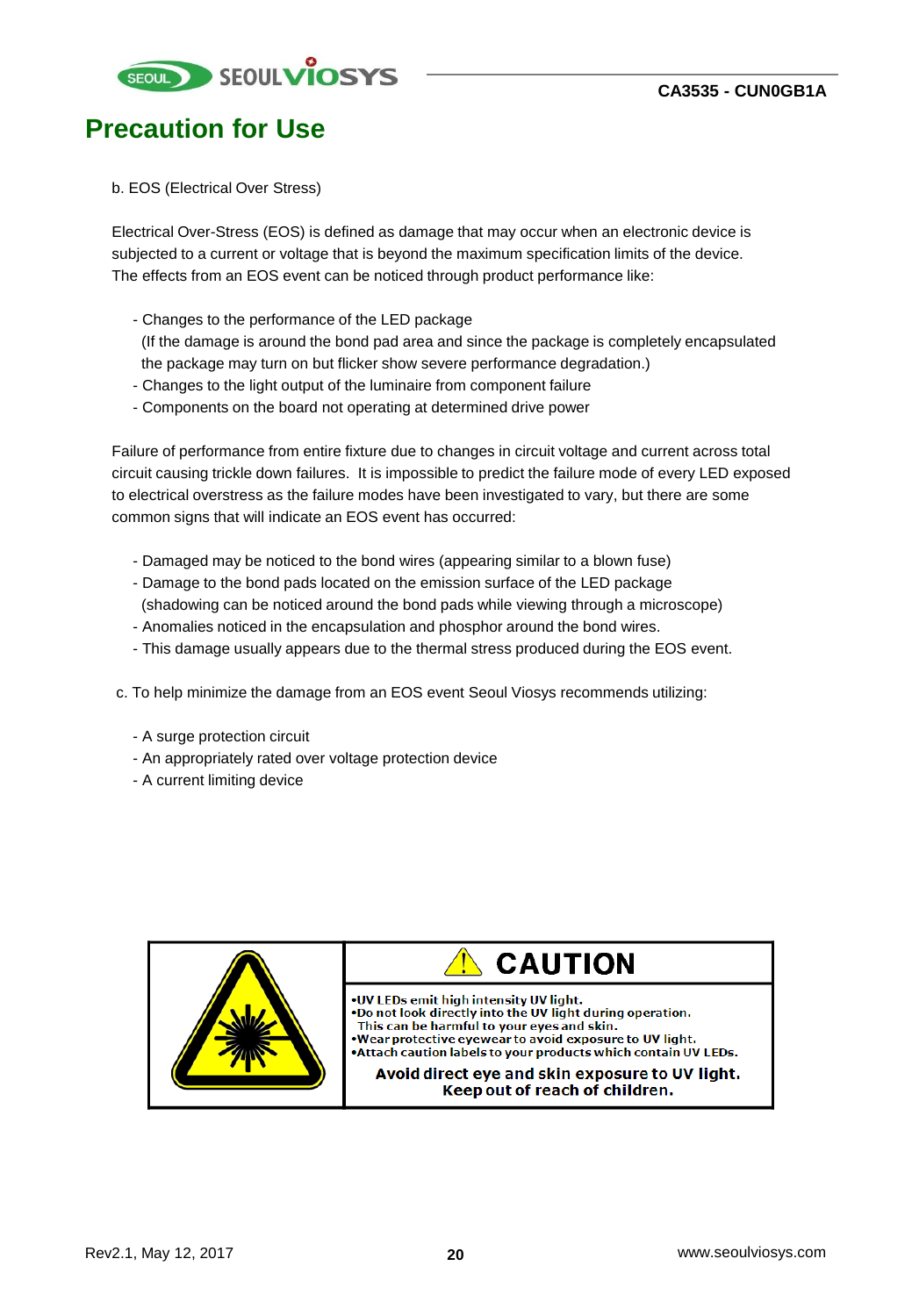![](_page_19_Picture_0.jpeg)

### **Precaution for Use**

#### b. EOS (Electrical Over Stress)

Electrical Over-Stress (EOS) is defined as damage that may occur when an electronic device is subjected to a current or voltage that is beyond the maximum specification limits of the device. The effects from an EOS event can be noticed through product performance like:

- Changes to the performance of the LED package

(If the damage is around the bond pad area and since the package is completely encapsulated the package may turn on but flicker show severe performance degradation.)

- Changes to the light output of the luminaire from component failure
- Components on the board not operating at determined drive power

Failure of performance from entire fixture due to changes in circuit voltage and current across total circuit causing trickle down failures. It is impossible to predict the failure mode of every LED exposed to electrical overstress as the failure modes have been investigated to vary, but there are some common signs that will indicate an EOS event has occurred:

- Damaged may be noticed to the bond wires (appearing similar to a blown fuse)
- Damage to the bond pads located on the emission surface of the LED package
- (shadowing can be noticed around the bond pads while viewing through a microscope) - Anomalies noticed in the encapsulation and phosphor around the bond wires.
- 
- This damage usually appears due to the thermal stress produced during the EOS event.
- c. To help minimize the damage from an EOS event Seoul Viosys recommends utilizing:
	- A surge protection circuit
	- An appropriately rated over voltage protection device
	- A current limiting device

![](_page_19_Picture_19.jpeg)